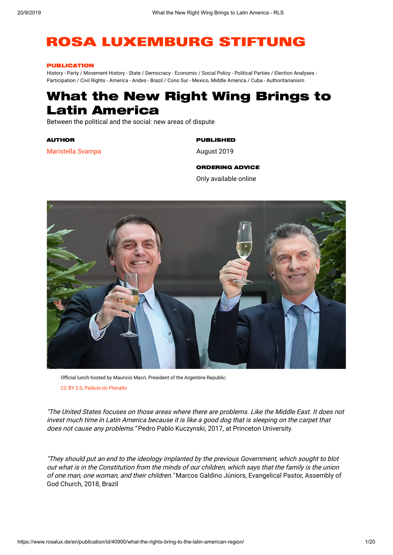# **ROSA LUXEMBURG STIFTUNG**

#### PUBLICATION

History - Party / Movement History - State / Democracy - Economic / Social Policy - Political Parties / Election Analyses - Participation / Civil Rights - America - Andes - Brazil / Cono Sur - Mexico, Middle America / Cuba - Authoritarianism

# What the New Right Wing Brings to Latin America

Between the political and the social: new areas of dispute

AUTHOR

[Maristella](https://www.rosalux.de/en/profile/es_detail/N769BDFLKX/maristella-svampa/) Svampa

# PUBLISHED

August 2019

#### ORDERING ADVICE

Only available online



Official lunch hosted by Mauricio Macri, President of the Argentine Republic. [CC BY 2.0,](https://creativecommons.org/licenses/by/2.0/) [Palácio do Planalto](https://flic.kr/p/2g9XoMt)

"The United States focuses on those areas where there are problems. Like the Middle East. It does not invest much time in Latin America because it is like <sup>a</sup> good dog that is sleeping on the carpet that does not cause any problems." Pedro Pablo Kuczynski, 2017, at Princeton University.

"They should put an end to the ideology implanted by the previous Government, which sought to blot out what is in the Constitution from the minds of our children, which says that the family is the union of one man, one woman, and their children." Marcos Galdino Júniors, Evangelical Pastor, Assembly of God Church, 2018, Brazil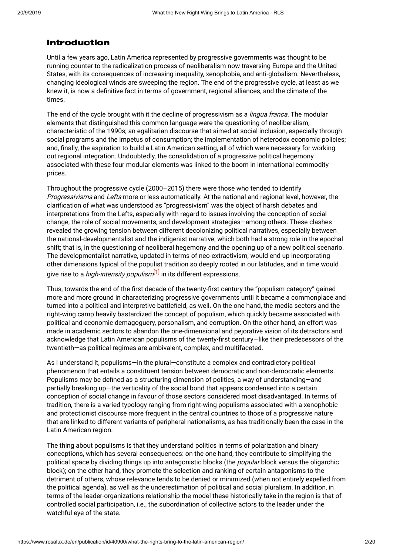# Introduction

Until a few years ago, Latin America represented by progressive governments was thought to be running counter to the radicalization process of neoliberalism now traversing Europe and the United States, with its consequences of increasing inequality, xenophobia, and anti-globalism. Nevertheless, changing ideological winds are sweeping the region. The end of the progressive cycle, at least as we knew it, is now a definitive fact in terms of government, regional alliances, and the climate of the times.

The end of the cycle brought with it the decline of progressivism as a *lingua franca*. The modular elements that distinguished this common language were the questioning of neoliberalism, characteristic of the 1990s; an egalitarian discourse that aimed at social inclusion, especially through social programs and the impetus of consumption; the implementation of heterodox economic policies; and, finally, the aspiration to build a Latin American setting, all of which were necessary for working out regional integration. Undoubtedly, the consolidation of a progressive political hegemony associated with these four modular elements was linked to the boom in international commodity prices.

Throughout the progressive cycle (2000–2015) there were those who tended to identify Progressivisms and Lefts more or less automatically. At the national and regional level, however, the clarification of what was understood as "progressivism" was the object of harsh debates and interpretations from the Lefts, especially with regard to issues involving the conception of social change, the role of social movements, and development strategies—among others. These clashes revealed the growing tension between different decolonizing political narratives, especially between the national-developmentalist and the indigenist narrative, which both had a strong role in the epochal shift; that is, in the questioning of neoliberal hegemony and the opening up of a new political scenario. The developmentalist narrative, updated in terms of neo-extractivism, would end up incorporating other dimensions typical of the populist tradition so deeply rooted in our latitudes, and in time would give rise to a *high-intensity populism*<sup>[\[1\]](https://www.rosalux.de/en/publication/id/40900/#_ftn1)</sup> in its different expressions.

Thus, towards the end of the first decade of the twenty-first century the "populism category" gained more and more ground in characterizing progressive governments until it became a commonplace and turned into a political and interpretive battlefield, as well. On the one hand, the media sectors and the right-wing camp heavily bastardized the concept of populism, which quickly became associated with political and economic demagoguery, personalism, and corruption. On the other hand, an effort was made in academic sectors to abandon the one-dimensional and pejorative vision of its detractors and acknowledge that Latin American populisms of the twenty-first century—like their predecessors of the twentieth—as political regimes are ambivalent, complex, and multifaceted.

As I understand it, populisms—in the plural—constitute a complex and contradictory political phenomenon that entails a constituent tension between democratic and non-democratic elements. Populisms may be defined as a structuring dimension of politics, a way of understanding—and partially breaking up—the verticality of the social bond that appears condensed into a certain conception of social change in favour of those sectors considered most disadvantaged. In terms of tradition, there is a varied typology ranging from right-wing populisms associated with a xenophobic and protectionist discourse more frequent in the central countries to those of a progressive nature that are linked to different variants of peripheral nationalisms, as has traditionally been the case in the Latin American region.

The thing about populisms is that they understand politics in terms of polarization and binary conceptions, which has several consequences: on the one hand, they contribute to simplifying the political space by dividing things up into antagonistic blocks (the *popular* block versus the oligarchic block); on the other hand, they promote the selection and ranking of certain antagonisms to the detriment of others, whose relevance tends to be denied or minimized (when not entirely expelled from the political agenda), as well as the underestimation of political and social pluralism. In addition, in terms of the leader-organizations relationship the model these historically take in the region is that of controlled social participation, i.e., the subordination of collective actors to the leader under the watchful eye of the state.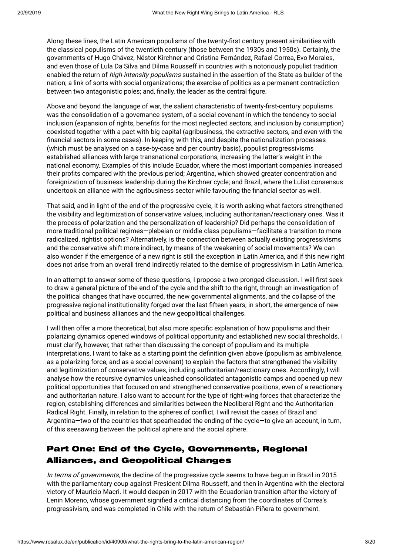Along these lines, the Latin American populisms of the twenty-first century present similarities with the classical populisms of the twentieth century (those between the 1930s and 1950s). Certainly, the governments of Hugo Chávez, Néstor Kirchner and Cristina Fernández, Rafael Correa, Evo Morales, and even those of Lula Da Silva and Dilma Rousseff in countries with a notoriously populist tradition enabled the return of *high-intensity populisms* sustained in the assertion of the State as builder of the nation; a link of sorts with social organizations; the exercise of politics as a permanent contradiction between two antagonistic poles; and, finally, the leader as the central figure.

Above and beyond the language of war, the salient characteristic of twenty-first-century populisms was the consolidation of a governance system, of a social covenant in which the tendency to social inclusion (expansion of rights, benefits for the most neglected sectors, and inclusion by consumption) coexisted together with a pact with big capital (agribusiness, the extractive sectors, and even with the financial sectors in some cases). In keeping with this, and despite the nationalization processes (which must be analysed on a case-by-case and per country basis), populist progressivisms established alliances with large transnational corporations, increasing the latter's weight in the national economy. Examples of this include Ecuador, where the most important companies increased their profits compared with the previous period; Argentina, which showed greater concentration and foreignization of business leadership during the Kirchner cycle; and Brazil, where the Lulist consensus undertook an alliance with the agribusiness sector while favouring the financial sector as well.

That said, and in light of the end of the progressive cycle, it is worth asking what factors strengthened the visibility and legitimization of conservative values, including authoritarian/reactionary ones. Was it the process of polarization and the personalization of leadership? Did perhaps the consolidation of more traditional political regimes—plebeian or middle class populisms—facilitate a transition to more radicalized, rightist options? Alternatively, is the connection between actually existing progressivisms and the conservative shift more indirect, by means of the weakening of social movements? We can also wonder if the emergence of a new right is still the exception in Latin America, and if this new right does not arise from an overall trend indirectly related to the demise of progressivism in Latin America.

In an attempt to answer some of these questions, I propose a two-pronged discussion. I will first seek to draw a general picture of the end of the cycle and the shift to the right, through an investigation of the political changes that have occurred, the new governmental alignments, and the collapse of the progressive regional institutionality forged over the last fifteen years; in short, the emergence of new political and business alliances and the new geopolitical challenges.

I will then offer a more theoretical, but also more specific explanation of how populisms and their polarizing dynamics opened windows of political opportunity and established new social thresholds. I must clarify, however, that rather than discussing the concept of populism and its multiple interpretations, I want to take as a starting point the definition given above (populism as ambivalence, as a polarizing force, and as a social covenant) to explain the factors that strengthened the visibility and legitimization of conservative values, including authoritarian/reactionary ones. Accordingly, I will analyse how the recursive dynamics unleashed consolidated antagonistic camps and opened up new political opportunities that focused on and strengthened conservative positions, even of a reactionary and authoritarian nature. I also want to account for the type of right-wing forces that characterize the region, establishing differences and similarities between the Neoliberal Right and the Authoritarian Radical Right. Finally, in relation to the spheres of conflict, I will revisit the cases of Brazil and Argentina—two of the countries that spearheaded the ending of the cycle—to give an account, in turn, of this seesawing between the political sphere and the social sphere.

# Part One: End of the Cycle, Governments, Regional Alliances, and Geopolitical Changes

In terms of governments, the decline of the progressive cycle seems to have begun in Brazil in 2015 with the parliamentary coup against President Dilma Rousseff, and then in Argentina with the electoral victory of Mauricio Macri. It would deepen in 2017 with the Ecuadorian transition after the victory of Lenin Moreno, whose government signified a critical distancing from the coordinates of Correa's progressivism, and was completed in Chile with the return of Sebastián Piñera to government.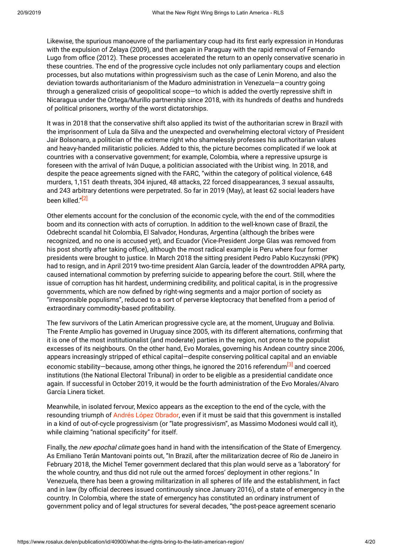Likewise, the spurious manoeuvre of the parliamentary coup had its first early expression in Honduras with the expulsion of Zelaya (2009), and then again in Paraguay with the rapid removal of Fernando Lugo from office (2012). These processes accelerated the return to an openly conservative scenario in these countries. The end of the progressive cycle includes not only parliamentary coups and election processes, but also mutations within progressivism such as the case of Lenin Moreno, and also the deviation towards authoritarianism of the Maduro administration in Venezuela—a country going through a generalized crisis of geopolitical scope—to which is added the overtly repressive shift in Nicaragua under the Ortega/Murillo partnership since 2018, with its hundreds of deaths and hundreds of political prisoners, worthy of the worst dictatorships.

It was in 2018 that the conservative shift also applied its twist of the authoritarian screw in Brazil with the imprisonment of Lula da Silva and the unexpected and overwhelming electoral victory of President Jair Bolsonaro, a politician of the extreme right who shamelessly professes his authoritarian values and heavy-handed militaristic policies. Added to this, the picture becomes complicated if we look at countries with a conservative government; for example, Colombia, where a repressive upsurge is foreseen with the arrival of Iván Duque, a politician associated with the Uribist wing. In 2018, and despite the peace agreements signed with the FARC, "within the category of political violence, 648 murders, 1,151 death threats, 304 injured, 48 attacks, 22 forced disappearances, 3 sexual assaults, and 243 arbitrary detentions were perpetrated. So far in 2019 (May), at least 62 social leaders have been killed."<sup>[\[2\]](https://www.rosalux.de/en/publication/id/40900/#_ftn2)</sup>

Other elements account for the conclusion of the economic cycle, with the end of the commodities boom and its connection with acts of corruption. In addition to the well-known case of Brazil, the Odebrecht scandal hit Colombia, El Salvador, Honduras, Argentina (although the bribes were recognized, and no one is accused yet), and Ecuador (Vice-President Jorge Glas was removed from his post shortly after taking office), although the most radical example is Peru where four former presidents were brought to justice. In March 2018 the sitting president Pedro Pablo Kuczynski (PPK) had to resign, and in April 2019 two-time president Alan García, leader of the downtrodden APRA party, caused international commotion by preferring suicide to appearing before the court. Still, where the issue of corruption has hit hardest, undermining credibility, and political capital, is in the progressive governments, which are now defined by right-wing segments and a major portion of society as "irresponsible populisms", reduced to a sort of perverse kleptocracy that benefited from a period of extraordinary commodity-based profitability.

The few survivors of the Latin American progressive cycle are, at the moment, Uruguay and Bolivia. The Frente Amplio has governed in Uruguay since 2005, with its different alternations, confirming that it is one of the most institutionalist (and moderate) parties in the region, not prone to the populist excesses of its neighbours. On the other hand, Evo Morales, governing his Andean country since 2006, appears increasingly stripped of ethical capital—despite conserving political capital and an enviable economic stability—because, among other things, he ignored the 2016 referendum<sup>[\[3\]](https://www.rosalux.de/en/publication/id/40900/#_ftn3)</sup> and coerced institutions (the National Electoral Tribunal) in order to be eligible as a presidential candidate once again. If successful in October 2019, it would be the fourth administration of the Evo Morales/Alvaro García Linera ticket.

Meanwhile, in isolated fervour, Mexico appears as the exception to the end of the cycle, with the resounding triumph of Andrés López [Obrador](https://nuso.org/articulo/mexico-el-gobierno-progresista-tardio), even if it must be said that this government is installed in a kind of out-of-cycle progressivism (or "late progressivism", as Massimo Modonesi would call it), while claiming "national specificity" for itself.

Finally, the new epochal climate goes hand in hand with the intensification of the State of Emergency. As Emiliano Terán Mantovani points out, "In Brazil, after the militarization decree of Rio de Janeiro in February 2018, the Michel Temer government declared that this plan would serve as a 'laboratory' for the whole country, and thus did not rule out the armed forces' deployment in other regions." In Venezuela, there has been a growing militarization in all spheres of life and the establishment, in fact and in law (by official decrees issued continuously since January 2016), of a state of emergency in the country. In Colombia, where the state of emergency has constituted an ordinary instrument of government policy and of legal structures for several decades, "the post-peace agreement scenario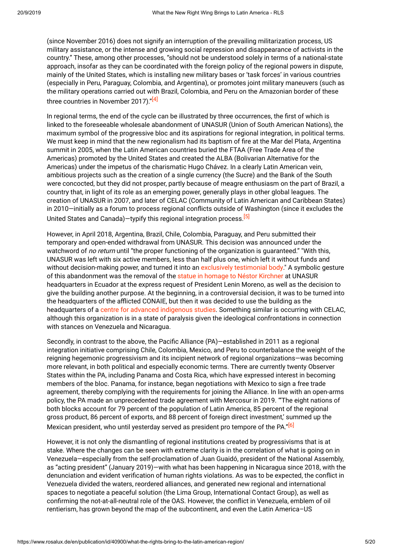(since November 2016) does not signify an interruption of the prevailing militarization process, US military assistance, or the intense and growing social repression and disappearance of activists in the country." These, among other processes, "should not be understood solely in terms of a national-state approach, insofar as they can be coordinated with the foreign policy of the regional powers in dispute, mainly of the United States, which is installing new military bases or 'task forces' in various countries (especially in Peru, Paraguay, Colombia, and Argentina), or promotes joint military maneuvers (such as the military operations carried out with Brazil, Colombia, and Peru on the Amazonian border of these three countries in November 2017)."<sup>[\[4\]](https://www.rosalux.de/en/publication/id/40900/#_ftn4)</sup>

In regional terms, the end of the cycle can be illustrated by three occurrences, the first of which is linked to the foreseeable wholesale abandonment of UNASUR (Union of South American Nations), the maximum symbol of the progressive bloc and its aspirations for regional integration, in political terms. We must keep in mind that the new regionalism had its baptism of fire at the Mar del Plata, Argentina summit in 2005, when the Latin American countries buried the FTAA (Free Trade Area of the Americas) promoted by the United States and created the ALBA (Bolivarian Alternative for the Americas) under the impetus of the charismatic Hugo Chávez. In a clearly Latin American vein, ambitious projects such as the creation of a single currency (the Sucre) and the Bank of the South were concocted, but they did not prosper, partly because of meagre enthusiasm on the part of Brazil, a country that, in light of its role as an emerging power, generally plays in other global leagues. The creation of UNASUR in 2007, and later of CELAC (Community of Latin American and Caribbean States) in 2010—initially as a forum to process regional conflicts outside of Washington (since it excludes the United States and Canada)—typify this regional integration process.<sup>[\[5\]](https://www.rosalux.de/en/publication/id/40900/#_ftn5)</sup>

However, in April 2018, Argentina, Brazil, Chile, Colombia, Paraguay, and Peru submitted their temporary and open-ended withdrawal from UNASUR. This decision was announced under the watchword of no return until "the proper functioning of the organization is guaranteed." "With this, UNASUR was left with six active members, less than half plus one, which left it without funds and without decision-making power, and turned it into an exclusively [testimonial](http://www.motoreconomico.com.ar/opinion/qu-le-pas-a-la-unasur) body." A symbolic gesture of this abandonment was the removal of the statue in homage to Néstor [Kirchner](https://www.perfil.com/noticias/politica/ecuador-retira-estatua-nestor-kirchner-no-representa-nuestros-valores-unasur.phtml) at UNASUR headquarters in Ecuador at the express request of President Lenin Moreno, as well as the decision to give the building another purpose. At the beginning, in a controversial decision, it was to be turned into the headquarters of the afflicted CONAIE, but then it was decided to use the building as the headquarters of a centre for advanced [indigenous](https://www.efe.com/efe/america/portada/el-presidente-de-ecuador-convertira-la-sede-unasur-en-quito-una-universidad-indigena/20000064-3675570) studies. Something similar is occurring with CELAC, although this organization is in a state of paralysis given the ideological confrontations in connection with stances on Venezuela and Nicaragua.

Secondly, in contrast to the above, the Pacific Alliance (PA)—established in 2011 as a regional integration initiative comprising Chile, Colombia, Mexico, and Peru to counterbalance the weight of the reigning hegemonic progressivism and its incipient network of regional organizations—was becoming more relevant, in both political and especially economic terms. There are currently twenty Observer States within the PA, including Panama and Costa Rica, which have expressed interest in becoming members of the bloc. Panama, for instance, began negotiations with Mexico to sign a free trade agreement, thereby complying with the requirements for joining the Alliance. In line with an open-arms policy, the PA made an unprecedented trade agreement with Mercosur in 2019. "'The eight nations of both blocks account for 79 percent of the population of Latin America, 85 percent of the regional gross product, 86 percent of exports, and 88 percent of foreign direct investment,' summed up the Mexican president, who until yesterday served as president pro tempore of the PA."<sup>[\[6\]](https://www.rosalux.de/en/publication/id/40900/#_ftn6)</sup>

However, it is not only the dismantling of regional institutions created by progressivisms that is at stake. Where the changes can be seen with extreme clarity is in the correlation of what is going on in Venezuela—especially from the self-proclamation of Juan Guaidó, president of the National Assembly, as "acting president" (January 2019)—with what has been happening in Nicaragua since 2018, with the denunciation and evident verification of human rights violations. As was to be expected, the conflict in Venezuela divided the waters, reordered alliances, and generated new regional and international spaces to negotiate a peaceful solution (the Lima Group, International Contact Group), as well as confirming the not-at-all-neutral role of the OAS. However, the conflict in Venezuela, emblem of oil rentierism, has grown beyond the map of the subcontinent, and even the Latin America–US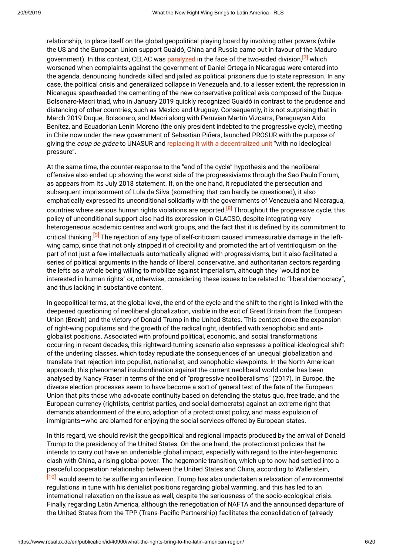relationship, to place itself on the global geopolitical playing board by involving other powers (while the US and the European Union support Guaidó, China and Russia came out in favour of the Maduro government). In this context, CELAC was [paralyzed](http://revistafal.com/la-celac-en-el-nuevo-escenario-regional/%20http:/revistafal.com/la-celac-en-el-nuevo-escenario-regional/) in the face of the two-sided division,<sup>[\[7\]](https://www.rosalux.de/en/publication/id/40900/#_ftn7)</sup> which worsened when complaints against the government of Daniel Ortega in Nicaragua were entered into the agenda, denouncing hundreds killed and jailed as political prisoners due to state repression. In any case, the political crisis and generalized collapse in Venezuela and, to a lesser extent, the repression in Nicaragua spearheaded the cementing of the new conservative political axis composed of the Duque-Bolsonaro-Macri triad, who in January 2019 quickly recognized Guaidó in contrast to the prudence and distancing of other countries, such as Mexico and Uruguay. Consequently, it is not surprising that in March 2019 Duque, Bolsonaro, and Macri along with Peruvian Martín Vizcarra, Paraguayan Aldo Benítez, and Ecuadorian Lenin Moreno (the only president indebted to the progressive cycle), meeting in Chile now under the new government of Sebastian Piñera, launched PROSUR with the purpose of giving the *coup de grâce* to UNASUR and replacing it with a [decentralized](https://www.lanacion.com.ar/politica/macri-viaja-a-chile-para-lanzar-el-prosurmacri-y-varios-presidentes-de-la-region-lanzan-hoy-en-chile-un-nuevo-organismo-nid2231031) unit "with no ideological pressure".

At the same time, the counter-response to the "end of the cycle" hypothesis and the neoliberal offensive also ended up showing the worst side of the progressivisms through the Sao Paulo Forum, as appears from its July 2018 statement. If, on the one hand, it repudiated the persecution and subsequent imprisonment of Lula da Silva (something that can hardly be questioned), it also emphatically expressed its unconditional solidarity with the governments of Venezuela and Nicaragua, countries where serious human rights violations are reported.<sup>[\[8\]](https://www.rosalux.de/en/publication/id/40900/#_ftn8)</sup> Throughout the progressive cycle, this policy of unconditional support also had its expression in CLACSO, despite integrating very heterogeneous academic centres and work groups, and the fact that it is defined by its commitment to critical thinking.<sup>[\[9\]](https://www.rosalux.de/en/publication/id/40900/#_ftn9)</sup> The rejection of any type of self-criticism caused immeasurable damage in the leftwing camp, since that not only stripped it of credibility and promoted the art of ventriloquism on the part of not just a few intellectuals automatically aligned with progressivisms, but it also facilitated a series of political arguments in the hands of liberal, conservative, and authoritarian sectors regarding the lefts as a whole being willing to mobilize against imperialism, although they "would not be interested in human rights" or, otherwise, considering these issues to be related to "liberal democracy", and thus lacking in substantive content.

In geopolitical terms, at the global level, the end of the cycle and the shift to the right is linked with the deepened questioning of neoliberal globalization, visible in the exit of Great Britain from the European Union (Brexit) and the victory of Donald Trump in the United States. This context drove the expansion of right-wing populisms and the growth of the radical right, identified with xenophobic and antiglobalist positions. Associated with profound political, economic, and social transformations occurring in recent decades, this rightward-turning scenario also expresses a political-ideological shift of the underling classes, which today repudiate the consequences of an unequal globalization and translate that rejection into populist, nationalist, and xenophobic viewpoints. In the North American approach, this phenomenal insubordination against the current neoliberal world order has been analysed by Nancy Fraser in terms of the end of "progressive neoliberalisms" (2017). In Europe, the diverse election processes seem to have become a sort of general test of the fate of the European Union that pits those who advocate continuity based on defending the status quo, free trade, and the European currency (rightists, centrist parties, and social democrats) against an extreme right that demands abandonment of the euro, adoption of a protectionist policy, and mass expulsion of immigrants—who are blamed for enjoying the social services offered by European states.

In this regard, we should revisit the geopolitical and regional impacts produced by the arrival of Donald Trump to the presidency of the United States. On the one hand, the protectionist policies that he intends to carry out have an undeniable global impact, especially with regard to the inter-hegemonic clash with China, a rising global power. The hegemonic transition, which up to now had settled into a peaceful cooperation relationship between the United States and China, according to Wallerstein,

[\[10\]](https://www.rosalux.de/en/publication/id/40900/#_ftn10) would seem to be suffering an inflexion. Trump has also undertaken a relaxation of environmental regulations in tune with his denialist positions regarding global warming, and this has led to an international relaxation on the issue as well, despite the seriousness of the socio-ecological crisis. Finally, regarding Latin America, although the renegotiation of NAFTA and the announced departure of the United States from the TPP (Trans-Pacific Partnership) facilitates the consolidation of (already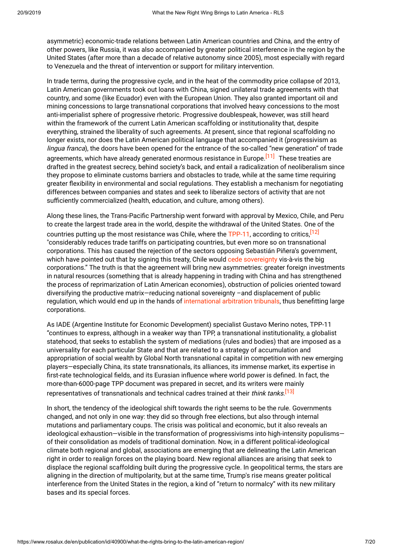asymmetric) economic-trade relations between Latin American countries and China, and the entry of other powers, like Russia, it was also accompanied by greater political interference in the region by the United States (after more than a decade of relative autonomy since 2005), most especially with regard to Venezuela and the threat of intervention or support for military intervention.

In trade terms, during the progressive cycle, and in the heat of the commodity price collapse of 2013, Latin American governments took out loans with China, signed unilateral trade agreements with that country, and some (like Ecuador) even with the European Union. They also granted important oil and mining concessions to large transnational corporations that involved heavy concessions to the most anti-imperialist sphere of progressive rhetoric. Progressive doublespeak, however, was still heard within the framework of the current Latin American scaffolding or institutionality that, despite everything, strained the liberality of such agreements. At present, since that regional scaffolding no longer exists, nor does the Latin American political language that accompanied it (progressivism as lingua franca), the doors have been opened for the entrance of the so-called "new generation" of trade agreements, which have already generated enormous resistance in Europe.<sup>[\[11\]](https://www.rosalux.de/en/publication/id/40900/#_ftn11)</sup> These treaties are drafted in the greatest secrecy, behind society's back, and entail a radicalization of neoliberalism since they propose to eliminate customs barriers and obstacles to trade, while at the same time requiring greater flexibility in environmental and social regulations. They establish a mechanism for negotiating differences between companies and states and seek to liberalize sectors of activity that are not sufficiently commercialized (health, education, and culture, among others).

Along these lines, the Trans-Pacific Partnership went forward with approval by Mexico, Chile, and Peru to create the largest trade area in the world, despite the withdrawal of the United States. One of the countries putting up the most resistance was Chile, where the [TPP-11](https://www.infobae.com/america/mexico/2018/12/30/entro-en-vigor-el-acuerdo-comercial-tpp-11-de-asia-pacifico-que-abrira-para-mexico-los-mercados-de-10-paises/), according to critics,<sup>[\[12\]](https://www.rosalux.de/en/publication/id/40900/#_ftn12)</sup> "considerably reduces trade tariffs on participating countries, but even more so on transnational corporations. This has caused the rejection of the sectors opposing Sebastián Piñera's government, which have pointed out that by signing this treaty, Chile would cede [sovereignty](https://radio.uchile.cl/2019/04/12/luciana-ghiotto-por-tpp-11-es-el-peor-tratado-de-libre-comercio-de-la-historia/) vis-à-vis the big corporations." The truth is that the agreement will bring new asymmetries: greater foreign investments in natural resources (something that is already happening in trading with China and has strengthened the process of reprimarization of Latin American economies), obstruction of policies oriented toward diversifying the productive matrix—reducing national sovereignty –and displacement of public regulation, which would end up in the hands of [international](https://www.eldesconcierto.cl/2018/12/20/tres-razones-para-oponerse-al-tpp-11/) arbitration tribunals, thus benefitting large corporations.

As IADE (Argentine Institute for Economic Development) specialist Gustavo Merino notes, TPP-11 "continues to express, although in a weaker way than TPP, a transnational institutionality, a globalist statehood, that seeks to establish the system of mediations (rules and bodies) that are imposed as a universality for each particular State and that are related to a strategy of accumulation and appropriation of social wealth by Global North transnational capital in competition with new emerging players—especially China, its state transnationals, its alliances, its immense market, its expertise in first-rate technological fields, and its Eurasian influence where world power is defined. In fact, the more-than-6000-page TPP document was prepared in secret, and its writers were mainly representatives of transnationals and technical cadres trained at their *think tanks*.<sup>[\[13\]](https://www.rosalux.de/en/publication/id/40900/#_ftn13)</sup>

In short, the tendency of the ideological shift towards the right seems to be the rule. Governments changed, and not only in one way: they did so through free elections, but also through internal mutations and parliamentary coups. The crisis was political and economic, but it also reveals an ideological exhaustion—visible in the transformation of progressivisms into high-intensity populisms of their consolidation as models of traditional domination. Now, in a different political-ideological climate both regional and global, associations are emerging that are delineating the Latin American right in order to realign forces on the playing board. New regional alliances are arising that seek to displace the regional scaffolding built during the progressive cycle. In geopolitical terms, the stars are aligning in the direction of multipolarity, but at the same time, Trump's rise means greater political interference from the United States in the region, a kind of "return to normalcy" with its new military bases and its special forces.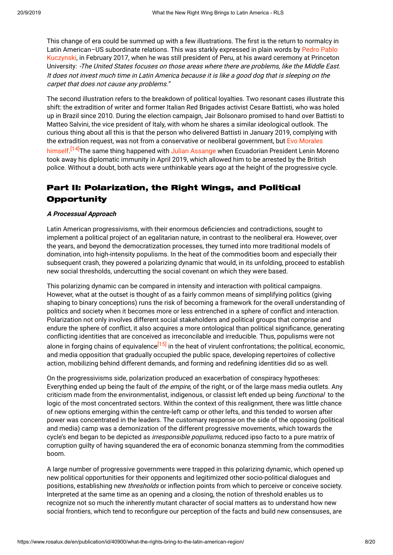This change of era could be summed up with a few illustrations. The first is the return to normalcy in Latin [American–US](https://rpp.pe/peru/actualidad/ppk-para-eeuu-america-latina-es-como-un-perro-simpatico-que-no-genera-problemas-noticia-1033439) subordinate relations. This was starkly expressed in plain words by Pedro Pablo Kuczynski, in February 2017, when he was still president of Peru, at his award ceremony at Princeton University: "The United States focuses on those areas where there are problems, like the Middle East. It does not invest much time in Latin America because it is like <sup>a</sup> good dog that is sleeping on the carpet that does not cause any problems."

The second illustration refers to the breakdown of political loyalties. Two resonant cases illustrate this shift: the extradition of writer and former Italian Red Brigades activist Cesare Battisti, who was holed up in Brazil since 2010. During the election campaign, Jair Bolsonaro promised to hand over Battisti to Matteo Salvini, the vice president of Italy, with whom he shares a similar ideological outlook. The curious thing about all this is that the person who delivered Battisti in January 2019, complying with the extradition request, was not from a [conservative](https://www.elmundo.es/internacional/2019/01/13/5c3b76d8fdddff2ebd8b457a.html) or neoliberal government, but Evo Morales himself.<sup>[\[14\]](https://www.rosalux.de/en/publication/id/40900/#_ftn14)</sup>The same thing happened with Julian [Assange](https://www.bbc.com/mundo/noticias-internacional-47897043) when Ecuadorian President Lenin Moreno took away his diplomatic immunity in April 2019, which allowed him to be arrested by the British police. Without a doubt, both acts were unthinkable years ago at the height of the progressive cycle.

# Part II: Polarization, the Right Wings, and Political **Opportunity**

# **A Processual Approach**

Latin American progressivisms, with their enormous deficiencies and contradictions, sought to implement a political project of an egalitarian nature, in contrast to the neoliberal era. However, over the years, and beyond the democratization processes, they turned into more traditional models of domination, into high-intensity populisms. In the heat of the commodities boom and especially their subsequent crash, they powered a polarizing dynamic that would, in its unfolding, proceed to establish new social thresholds, undercutting the social covenant on which they were based.

This polarizing dynamic can be compared in intensity and interaction with political campaigns. However, what at the outset is thought of as a fairly common means of simplifying politics (giving shaping to binary conceptions) runs the risk of becoming a framework for the overall understanding of politics and society when it becomes more or less entrenched in a sphere of conflict and interaction. Polarization not only involves different social stakeholders and political groups that comprise and endure the sphere of conflict, it also acquires a more ontological than political significance, generating conflicting identities that are conceived as irreconcilable and irreducible. Thus, populisms were not alone in forging chains of equivalence<sup>[\[15\]](https://www.rosalux.de/en/publication/id/40900/#_ftn15)</sup> in the heat of virulent confrontations; the political, economic, and media opposition that gradually occupied the public space, developing repertoires of collective action, mobilizing behind different demands, and forming and redefining identities did so as well.

On the progressivisms side, polarization produced an exacerbation of conspiracy hypotheses: Everything ended up being the fault of the empire, of the right, or of the large mass media outlets. Any criticism made from the environmentalist, indigenous, or classist left ended up being *functional* to the logic of the most concentrated sectors. Within the context of this realignment, there was little chance of new options emerging within the centre-left camp or other lefts, and this tended to worsen after power was concentrated in the leaders. The customary response on the side of the opposing (political and media) camp was a demonization of the different progressive movements, which towards the cycle's end began to be depicted as *irresponsible populisms*, reduced ipso facto to a pure matrix of corruption guilty of having squandered the era of economic bonanza stemming from the commodities boom.

A large number of progressive governments were trapped in this polarizing dynamic, which opened up new political opportunities for their opponents and legitimized other socio-political dialogues and positions, establishing new thresholds or inflection points from which to perceive or conceive society. Interpreted at the same time as an opening and a closing, the notion of threshold enables us to recognize not so much the inherently mutant character of social matters as to understand how new social frontiers, which tend to reconfigure our perception of the facts and build new consensuses, are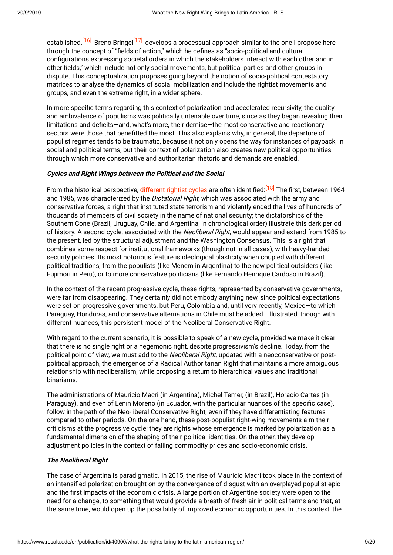established.<sup>[\[16\]](https://www.rosalux.de/en/publication/id/40900/#_ftn16)</sup> Breno Bringel<sup>[\[17\]](https://www.rosalux.de/en/publication/id/40900/#_ftn17)</sup> develops a processual approach similar to the one I propose here through the concept of "fields of action," which he defines as "socio-political and cultural configurations expressing societal orders in which the stakeholders interact with each other and in other fields," which include not only social movements, but political parties and other groups in dispute. This conceptualization proposes going beyond the notion of socio-political contestatory matrices to analyse the dynamics of social mobilization and include the rightist movements and groups, and even the extreme right, in a wider sphere.

In more specific terms regarding this context of polarization and accelerated recursivity, the duality and ambivalence of populisms was politically untenable over time, since as they began revealing their limitations and deficits—and, what's more, their demise—the most conservative and reactionary sectors were those that benefitted the most. This also explains why, in general, the departure of populist regimes tends to be traumatic, because it not only opens the way for instances of payback, in social and political terms, but their context of polarization also creates new political opportunities through which more conservative and authoritarian rhetoric and demands are enabled.

#### **Cycles and Right Wings between the Political and the Social**

From the historical perspective, [different](http://biblioteca.clacso.edu.ar/gsdl/collect/clacso/index/assoc/D11890.dir/America-Latina-Crisis-del-neoliberalismo.pdf) rightist cycles are often identified:<sup>[\[18\]](https://www.rosalux.de/en/publication/id/40900/#_ftn18)</sup> The first, between 1964 and 1985, was characterized by the Dictatorial Right, which was associated with the army and conservative forces, a right that instituted state terrorism and violently ended the lives of hundreds of thousands of members of civil society in the name of national security; the dictatorships of the Southern Cone (Brazil, Uruguay, Chile, and Argentina, in chronological order) illustrate this dark period of history. A second cycle, associated with the Neoliberal Right, would appear and extend from 1985 to the present, led by the structural adjustment and the Washington Consensus. This is a right that combines some respect for institutional frameworks (though not in all cases), with heavy-handed security policies. Its most notorious feature is ideological plasticity when coupled with different political traditions, from the populists (like Menem in Argentina) to the new political outsiders (like Fujimori in Peru), or to more conservative politicians (like Fernando Henrique Cardoso in Brazil).

In the context of the recent progressive cycle, these rights, represented by conservative governments, were far from disappearing. They certainly did not embody anything new, since political expectations were set on progressive governments, but Peru, Colombia and, until very recently, Mexico—to which Paraguay, Honduras, and conservative alternations in Chile must be added—illustrated, though with different nuances, this persistent model of the Neoliberal Conservative Right.

With regard to the current scenario, it is possible to speak of a new cycle, provided we make it clear that there is no single right or a hegemonic right, despite progressivism's decline. Today, from the political point of view, we must add to the Neoliberal Right, updated with a neoconservative or postpolitical approach, the emergence of a Radical Authoritarian Right that maintains a more ambiguous relationship with neoliberalism, while proposing a return to hierarchical values and traditional binarisms.

The administrations of Mauricio Macri (in Argentina), Michel Temer, (in Brazil), Horacio Cartes (in Paraguay), and even of Lenin Moreno (in Ecuador, with the particular nuances of the specific case), follow in the path of the Neo-liberal Conservative Right, even if they have differentiating features compared to other periods. On the one hand, these post-populist right-wing movements aim their criticisms at the progressive cycle; they are rights whose emergence is marked by polarization as a fundamental dimension of the shaping of their political identities. On the other, they develop adjustment policies in the context of falling commodity prices and socio-economic crisis.

#### **The Neoliberal Right**

The case of Argentina is paradigmatic. In 2015, the rise of Mauricio Macri took place in the context of an intensified polarization brought on by the convergence of disgust with an overplayed populist epic and the first impacts of the economic crisis. A large portion of Argentine society were open to the need for a change, to something that would provide a breath of fresh air in political terms and that, at the same time, would open up the possibility of improved economic opportunities. In this context, the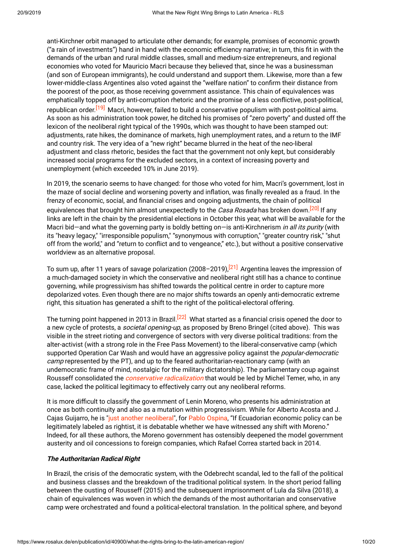anti-Kirchner orbit managed to articulate other demands; for example, promises of economic growth ("a rain of investments") hand in hand with the economic efficiency narrative; in turn, this fit in with the demands of the urban and rural middle classes, small and medium-size entrepreneurs, and regional economies who voted for Mauricio Macri because they believed that, since he was a businessman (and son of European immigrants), he could understand and support them. Likewise, more than a few lower-middle-class Argentines also voted against the "welfare nation" to confirm their distance from the poorest of the poor, as those receiving government assistance. This chain of equivalences was emphatically topped off by anti-corruption rhetoric and the promise of a less conflictive, post-political, republican order.<sup>[\[19\]](https://www.rosalux.de/en/publication/id/40900/#_ftn19)</sup> Macri, however, failed to build a conservative populism with post-political aims. As soon as his administration took power, he ditched his promises of "zero poverty" and dusted off the lexicon of the neoliberal right typical of the 1990s, which was thought to have been stamped out: adjustments, rate hikes, the dominance of markets, high unemployment rates, and a return to the IMF and country risk. The very idea of a "new right" became blurred in the heat of the neo-liberal adjustment and class rhetoric, besides the fact that the government not only kept, but considerably increased social programs for the excluded sectors, in a context of increasing poverty and unemployment (which exceeded 10% in June 2019).

In 2019, the scenario seems to have changed: for those who voted for him, Macri's government, lost in the maze of social decline and worsening poverty and inflation, was finally revealed as a fraud. In the frenzy of economic, social, and financial crises and ongoing adjustments, the chain of political equivalences that brought him almost unexpectedly to the *Casa Rosada* has broken down.<sup>[\[20\]](https://www.rosalux.de/en/publication/id/40900/#_ftn20)</sup> If any links are left in the chain by the presidential elections in October this year, what will be available for the Macri bid—and what the governing party is boldly betting on—is anti-Kirchnerism *in all its purity* (with its "heavy legacy," "irresponsible populism," "synonymous with corruption," "greater country risk," "shut off from the world," and "return to conflict and to vengeance," etc.), but without a positive conservative worldview as an alternative proposal.

To sum up, after 11 years of savage polarization (2008–2019),<sup>[\[21\]](https://www.rosalux.de/en/publication/id/40900/#_ftn21)</sup> Argentina leaves the impression of a much-damaged society in which the conservative and neoliberal right still has a chance to continue governing, while progressivism has shifted towards the political centre in order to capture more depolarized votes. Even though there are no major shifts towards an openly anti-democratic extreme right, this situation has generated a shift to the right of the political-electoral offering.

The turning point happened in 2013 in Brazil.<sup>[\[22\]](https://www.rosalux.de/en/publication/id/40900/#_ftn22)</sup> What started as a financial crisis opened the door to a new cycle of protests, a *societal opening-up*, as proposed by Breno Bringel (cited above). This was visible in the street rioting and convergence of sectors with very diverse political traditions: from the alter-activist (with a strong role in the Free Pass Movement) to the liberal-conservative camp (which supported Operation Car Wash and would have an aggressive policy against the *popular-democratic* camp represented by the PT), and up to the feared authoritarian-reactionary camp (with an undemocratic frame of mind, nostalgic for the military dictatorship). The parliamentary coup against Rousseff consolidated the *conservative [radicalization](http://www.rebelion.org/noticia.php?id=217321)* that would be led by Michel Temer, who, in any case, lacked the political legitimacy to effectively carry out any neoliberal reforms.

It is more difficult to classify the government of Lenin Moreno, who presents his administration at once as both continuity and also as a mutation within progressivism. While for Alberto Acosta and J. Cajas Guijarro, he is "just another [neoliberal](https://lalineadefuego.info/2018/09/04/moreno-un-neoliberal-mas-por-alberto-acosta-y-john-cajas-guijarro/)", for Pablo [Ospina,](https://nuso.org/articulo/ecuador-moreno-correa-elecciones-politica/) "If Ecuadorian economic policy can be legitimately labeled as rightist, it is debatable whether we have witnessed any shift with Moreno." Indeed, for all these authors, the Moreno government has ostensibly deepened the model government austerity and oil concessions to foreign companies, which Rafael Correa started back in 2014.

#### **The Authoritarian Radical Right**

In Brazil, the crisis of the democratic system, with the Odebrecht scandal, led to the fall of the political and business classes and the breakdown of the traditional political system. In the short period falling between the ousting of Rousseff (2015) and the subsequent imprisonment of Lula da Silva (2018), a chain of equivalences was woven in which the demands of the most authoritarian and conservative camp were orchestrated and found a political-electoral translation. In the political sphere, and beyond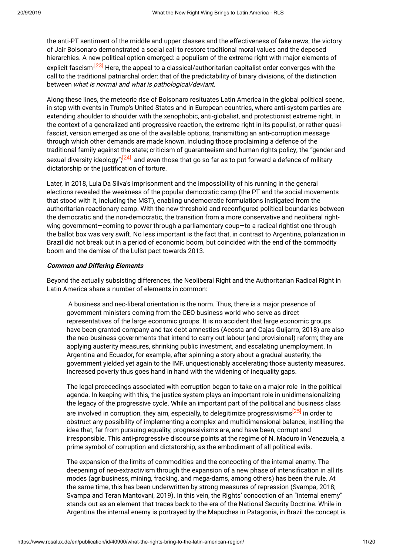the anti-PT sentiment of the middle and upper classes and the effectiveness of fake news, the victory of Jair Bolsonaro demonstrated a social call to restore traditional moral values and the deposed hierarchies. A new political option emerged: a populism of the extreme right with major elements of explicit fascism<sup>[\[23\]](https://www.rosalux.de/en/publication/id/40900/#_ftn23)</sup> Here, the appeal to a classical/authoritarian capitalist order converges with the call to the traditional patriarchal order: that of the predictability of binary divisions, of the distinction between what is normal and what is pathological/deviant.

Along these lines, the meteoric rise of Bolsonaro resituates Latin America in the global political scene, in step with events in Trump's United States and in European countries, where anti-system parties are extending shoulder to shoulder with the xenophobic, anti-globalist, and protectionist extreme right. In the context of a generalized anti-progressive reaction, the extreme right in its populist, or rather quasifascist, version emerged as one of the available options, transmitting an anti-corruption message through which other demands are made known, including those proclaiming a defence of the traditional family against the state; criticism of guaranteeism and human rights policy; the "gender and sexual diversity ideology";<sup>[\[24\]](https://www.rosalux.de/en/publication/id/40900/#_ftn24)</sup> and even those that go so far as to put forward a defence of military dictatorship or the justification of torture.

Later, in 2018, Lula Da Silva's imprisonment and the impossibility of his running in the general elections revealed the weakness of the popular democratic camp (the PT and the social movements that stood with it, including the MST), enabling undemocratic formulations instigated from the authoritarian-reactionary camp. With the new threshold and reconfigured political boundaries between the democratic and the non-democratic, the transition from a more conservative and neoliberal rightwing government—coming to power through a parliamentary coup—to a radical rightist one through the ballot box was very swift. No less important is the fact that, in contrast to Argentina, polarization in Brazil did not break out in a period of economic boom, but coincided with the end of the commodity boom and the demise of the Lulist pact towards 2013.

#### **Common and Differing Elements**

Beyond the actually subsisting differences, the Neoliberal Right and the Authoritarian Radical Right in Latin America share a number of elements in common:

A business and neo-liberal orientation is the norm. Thus, there is a major presence of government ministers coming from the CEO business world who serve as direct representatives of the large economic groups. It is no accident that large economic groups have been granted company and tax debt amnesties (Acosta and Cajas Guijarro, 2018) are also the neo-business governments that intend to carry out labour (and provisional) reform; they are applying austerity measures, shrinking public investment, and escalating unemployment. In Argentina and Ecuador, for example, after spinning a story about a gradual austerity, the government yielded yet again to the IMF, unquestionably accelerating those austerity measures. Increased poverty thus goes hand in hand with the widening of inequality gaps.

The legal proceedings associated with corruption began to take on a major role in the political agenda. In keeping with this, the justice system plays an important role in unidimensionalizing the legacy of the progressive cycle. While an important part of the political and business class are involved in corruption, they aim, especially, to delegitimize progressivisms<sup>[\[25\]](https://www.rosalux.de/en/publication/id/40900/#_ftn25)</sup> in order to obstruct any possibility of implementing a complex and multidimensional balance, instilling the idea that, far from pursuing equality, progressivisms are, and have been, corrupt and irresponsible. This anti-progressive discourse points at the regime of N. Maduro in Venezuela, a prime symbol of corruption and dictatorship, as the embodiment of all political evils.

The expansion of the limits of commodities and the concocting of the internal enemy. The deepening of neo-extractivism through the expansion of a new phase of intensification in all its modes (agribusiness, mining, fracking, and mega-dams, among others) has been the rule. At the same time, this has been underwritten by strong measures of repression (Svampa, 2018; Svampa and Teran Mantovani, 2019). In this vein, the Rights' concoction of an "internal enemy" stands out as an element that traces back to the era of the National Security Doctrine. While in Argentina the internal enemy is portrayed by the Mapuches in Patagonia, in Brazil the concept is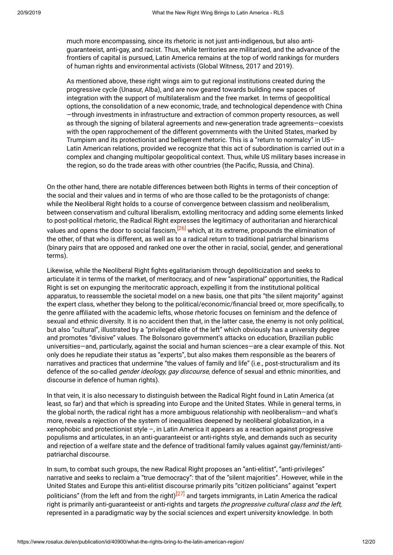much more encompassing, since its rhetoric is not just anti-indigenous, but also antiguaranteeist, anti-gay, and racist. Thus, while territories are militarized, and the advance of the frontiers of capital is pursued, Latin America remains at the top of world rankings for murders of human rights and environmental activists (Global Witness, 2017 and 2019).

As mentioned above, these right wings aim to gut regional institutions created during the progressive cycle (Unasur, Alba), and are now geared towards building new spaces of integration with the support of multilateralism and the free market. In terms of geopolitical options, the consolidation of a new economic, trade, and technological dependence with China —through investments in infrastructure and extraction of common property resources, as well as through the signing of bilateral agreements and new-generation trade agreements—coexists with the open rapprochement of the different governments with the United States, marked by Trumpism and its protectionist and belligerent rhetoric. This is a "return to normalcy" in US– Latin American relations, provided we recognize that this act of subordination is carried out in a complex and changing multipolar geopolitical context. Thus, while US military bases increase in the region, so do the trade areas with other countries (the Pacific, Russia, and China).

On the other hand, there are notable differences between both Rights in terms of their conception of the social and their values and in terms of who are those called to be the protagonists of change: while the Neoliberal Right holds to a course of convergence between classism and neoliberalism, between conservatism and cultural liberalism, extolling meritocracy and adding some elements linked to post-political rhetoric, the Radical Right expresses the legitimacy of authoritarian and hierarchical values and opens the door to social fascism,<sup>[\[26\]](https://www.rosalux.de/en/publication/id/40900/#_ftn26)</sup> which, at its extreme, propounds the elimination of the other, of that who is different, as well as to a radical return to traditional patriarchal binarisms (binary pairs that are opposed and ranked one over the other in racial, social, gender, and generational terms).

Likewise, while the Neoliberal Right fights egalitarianism through depoliticization and seeks to articulate it in terms of the market, of meritocracy, and of new "aspirational" opportunities, the Radical Right is set on expunging the meritocratic approach, expelling it from the institutional political apparatus, to reassemble the societal model on a new basis, one that pits "the silent majority" against the expert class, whether they belong to the political/economic/financial breed or, more specifically, to the genre affiliated with the academic lefts, whose rhetoric focuses on feminism and the defence of sexual and ethnic diversity. It is no accident then that, in the latter case, the enemy is not only political, but also "cultural", illustrated by a "privileged elite of the left" which obviously has a university degree and promotes "divisive" values. The Bolsonaro government's attacks on education, Brazilian public universities—and, particularly, against the social and human sciences—are a clear example of this. Not only does he repudiate their status as "experts", but also makes them responsible as the bearers of narratives and practices that undermine "the values of family and life" (i.e., post-structuralism and its defence of the so-called *gender ideology, gay discourse*, defence of sexual and ethnic minorities, and discourse in defence of human rights).

In that vein, it is also necessary to distinguish between the Radical Right found in Latin America (at least, so far) and that which is spreading into Europe and the United States. While in general terms, in the global north, the radical right has a more ambiguous relationship with neoliberalism—and what's more, reveals a rejection of the system of inequalities deepened by neoliberal globalization, in a xenophobic and protectionist style –, in Latin America it appears as a reaction against progressive populisms and articulates, in an anti-guaranteeist or anti-rights style, and demands such as security and rejection of a welfare state and the defence of traditional family values against gay/feminist/antipatriarchal discourse.

In sum, to combat such groups, the new Radical Right proposes an "anti-elitist", "anti-privileges" narrative and seeks to reclaim a "true democracy": that of the "silent majorities". However, while in the United States and Europe this anti-elitist discourse primarily pits "citizen politicians" against "expert politicians" (from the left and from the right)<sup>[\[27\]](https://www.rosalux.de/en/publication/id/40900/#_ftn27)</sup> and targets immigrants, in Latin America the radical right is primarily anti-guaranteeist or anti-rights and targets the progressive cultural class and the left, represented in a paradigmatic way by the social sciences and expert university knowledge. In both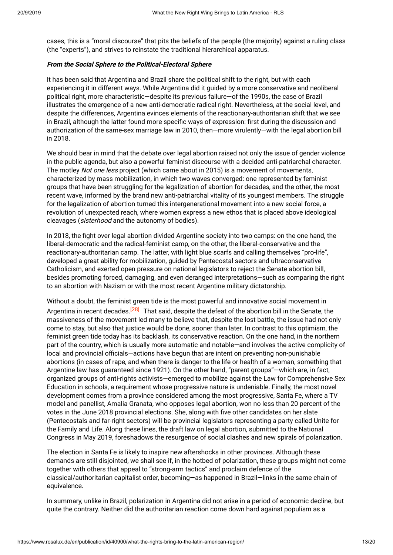cases, this is a "moral discourse" that pits the beliefs of the people (the majority) against a ruling class (the "experts"), and strives to reinstate the traditional hierarchical apparatus.

### **From the Social Sphere to the Political-Electoral Sphere**

It has been said that Argentina and Brazil share the political shift to the right, but with each experiencing it in different ways. While Argentina did it guided by a more conservative and neoliberal political right, more characteristic—despite its previous failure—of the 1990s, the case of Brazil illustrates the emergence of a new anti-democratic radical right. Nevertheless, at the social level, and despite the differences, Argentina evinces elements of the reactionary-authoritarian shift that we see in Brazil, although the latter found more specific ways of expression: first during the discussion and authorization of the same-sex marriage law in 2010, then—more virulently—with the legal abortion bill in 2018.

We should bear in mind that the debate over legal abortion raised not only the issue of gender violence in the public agenda, but also a powerful feminist discourse with a decided anti-patriarchal character. The motley *Not one less* project (which came about in 2015) is a movement of movements, characterized by mass mobilization, in which two waves converged: one represented by feminist groups that have been struggling for the legalization of abortion for decades, and the other, the most recent wave, informed by the brand new anti-patriarchal vitality of its youngest members. The struggle for the legalization of abortion turned this intergenerational movement into a new social force, a revolution of unexpected reach, where women express a new ethos that is placed above ideological cleavages (sisterhood and the autonomy of bodies).

In 2018, the fight over legal abortion divided Argentine society into two camps: on the one hand, the liberal-democratic and the radical-feminist camp, on the other, the liberal-conservative and the reactionary-authoritarian camp. The latter, with light blue scarfs and calling themselves "pro-life", developed a great ability for mobilization, guided by Pentecostal sectors and ultraconservative Catholicism, and exerted open pressure on national legislators to reject the Senate abortion bill, besides promoting forced, damaging, and even deranged interpretations—such as comparing the right to an abortion with Nazism or with the most recent Argentine military dictatorship.

Without a doubt, the feminist green tide is the most powerful and innovative social movement in Argentina in recent decades.<sup>[\[28\]](https://www.rosalux.de/en/publication/id/40900/#_ftn28)</sup> That said, despite the defeat of the abortion bill in the Senate, the massiveness of the movement led many to believe that, despite the lost battle, the issue had not only come to stay, but also that justice would be done, sooner than later. In contrast to this optimism, the feminist green tide today has its backlash, its conservative reaction. On the one hand, in the northern part of the country, which is usually more automatic and notable—and involves the active complicity of local and provincial officials—actions have begun that are intent on preventing non-punishable abortions (in cases of rape, and when there is danger to the life or health of a woman, something that Argentine law has guaranteed since 1921). On the other hand, "parent groups"—which are, in fact, organized groups of anti-rights activists—emerged to mobilize against the Law for Comprehensive Sex Education in schools, a requirement whose progressive nature is undeniable. Finally, the most novel development comes from a province considered among the most progressive, Santa Fe, where a TV model and panellist, Amalia Granata, who opposes legal abortion, won no less than 20 percent of the votes in the June 2018 provincial elections. She, along with five other candidates on her slate (Pentecostals and far-right sectors) will be provincial legislators representing a party called Unite for the Family and Life. Along these lines, the draft law on legal abortion, submitted to the National Congress in May 2019, foreshadows the resurgence of social clashes and new spirals of polarization.

The election in Santa Fe is likely to inspire new aftershocks in other provinces. Although these demands are still disjointed, we shall see if, in the hotbed of polarization, these groups might not come together with others that appeal to "strong-arm tactics" and proclaim defence of the classical/authoritarian capitalist order, becoming—as happened in Brazil—links in the same chain of equivalence.

In summary, unlike in Brazil, polarization in Argentina did not arise in a period of economic decline, but quite the contrary. Neither did the authoritarian reaction come down hard against populism as a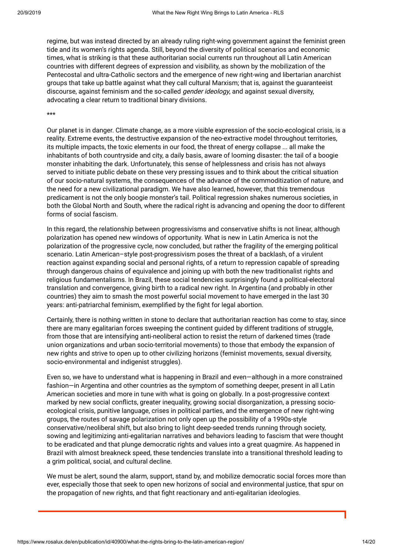regime, but was instead directed by an already ruling right-wing government against the feminist green tide and its women's rights agenda. Still, beyond the diversity of political scenarios and economic times, what is striking is that these authoritarian social currents run throughout all Latin American countries with different degrees of expression and visibility, as shown by the mobilization of the Pentecostal and ultra-Catholic sectors and the emergence of new right-wing and libertarian anarchist groups that take up battle against what they call cultural Marxism; that is, against the guaranteeist discourse, against feminism and the so-called *gender ideology*, and against sexual diversity, advocating a clear return to traditional binary divisions.

\*\*\*

Our planet is in danger. Climate change, as a more visible expression of the socio-ecological crisis, is a reality. Extreme events, the destructive expansion of the neo-extractive model throughout territories, its multiple impacts, the toxic elements in our food, the threat of energy collapse ... all make the inhabitants of both countryside and city, a daily basis, aware of looming disaster: the tail of a boogie monster inhabiting the dark. Unfortunately, this sense of helplessness and crisis has not always served to initiate public debate on these very pressing issues and to think about the critical situation of our socio-natural systems, the consequences of the advance of the commoditization of nature, and the need for a new civilizational paradigm. We have also learned, however, that this tremendous predicament is not the only boogie monster's tail. Political regression shakes numerous societies, in both the Global North and South, where the radical right is advancing and opening the door to different forms of social fascism.

In this regard, the relationship between progressivisms and conservative shifts is not linear, although polarization has opened new windows of opportunity. What is new in Latin America is not the polarization of the progressive cycle, now concluded, but rather the fragility of the emerging political scenario. Latin American–style post-progressivism poses the threat of a backlash, of a virulent reaction against expanding social and personal rights, of a return to repression capable of spreading through dangerous chains of equivalence and joining up with both the new traditionalist rights and religious fundamentalisms. In Brazil, these social tendencies surprisingly found a political-electoral translation and convergence, giving birth to a radical new right. In Argentina (and probably in other countries) they aim to smash the most powerful social movement to have emerged in the last 30 years: anti-patriarchal feminism, exemplified by the fight for legal abortion.

Certainly, there is nothing written in stone to declare that authoritarian reaction has come to stay, since there are many egalitarian forces sweeping the continent guided by different traditions of struggle, from those that are intensifying anti-neoliberal action to resist the return of darkened times (trade union organizations and urban socio-territorial movements) to those that embody the expansion of new rights and strive to open up to other civilizing horizons (feminist movements, sexual diversity, socio-environmental and indigenist struggles).

Even so, we have to understand what is happening in Brazil and even—although in a more constrained fashion—in Argentina and other countries as the symptom of something deeper, present in all Latin American societies and more in tune with what is going on globally. In a post-progressive context marked by new social conflicts, greater inequality, growing social disorganization, a pressing socioecological crisis, punitive language, crises in political parties, and the emergence of new right-wing groups, the routes of savage polarization not only open up the possibility of a 1990s-style conservative/neoliberal shift, but also bring to light deep-seeded trends running through society, sowing and legitimizing anti-egalitarian narratives and behaviors leading to fascism that were thought to be eradicated and that plunge democratic rights and values into a great quagmire. As happened in Brazil with almost breakneck speed, these tendencies translate into a transitional threshold leading to a grim political, social, and cultural decline.

We must be alert, sound the alarm, support, stand by, and mobilize democratic social forces more than ever, especially those that seek to open new horizons of social and environmental justice, that spur on the propagation of new rights, and that fight reactionary and anti-egalitarian ideologies.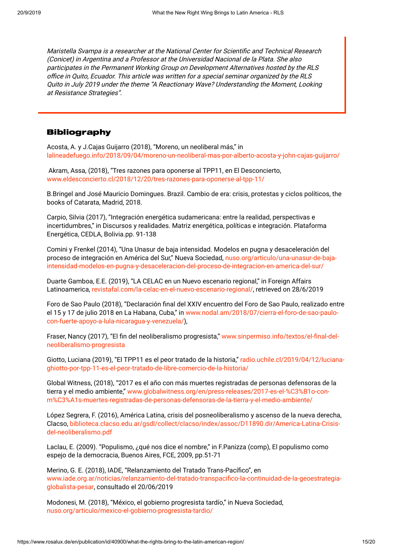Maristella Svampa is <sup>a</sup> researcher at the National Center for Scientific and Technical Research (Conicet) in Argentina and <sup>a</sup> Professor at the Universidad Nacional de la Plata. She also participates in the Permanent Working Group on Development Alternatives hosted by the RLS office in Quito, Ecuador. This article was written for <sup>a</sup> special seminar organized by the RLS Quito in July 2019 under the theme "A Reactionary Wave? Understanding the Moment, Looking at Resistance Strategies".

# Bibliography

Acosta, A. y J.Cajas Guijarro (2018), "Moreno, un neoliberal más," in [lalineadefuego.info/2018/09/04/moreno-un-neoliberal-mas-por-alberto-acosta-y-john-cajas-guijarro/](https://lalineadefuego.info/2018/09/04/moreno-un-neoliberal-mas-por-alberto-acosta-y-john-cajas-guijarro/)

Akram, Assa, (2018), "Tres razones para oponerse al TPP11, en El Desconcierto, [www.eldesconcierto.cl/2018/12/20/tres-razones-para-oponerse-al-tpp-11/](https://www.eldesconcierto.cl/2018/12/20/tres-razones-para-oponerse-al-tpp-11/)

B.Bringel and José Mauricio Domingues. Brazil. Cambio de era: crisis, protestas y ciclos políticos, the books of Catarata, Madrid, 2018.

Carpio, Silvia (2017), "Integración energética sudamericana: entre la realidad, perspectivas e incertidumbres," in Discursos y realidades. Matriz energética, políticas e integración. Plataforma Energética, CEDLA, Bolivia.pp. 91-138

Comini y Frenkel (2014), "Una Unasur de baja intensidad. Modelos en pugna y desaceleración del proceso de integración en América del Sur," Nueva Sociedad, nuso.org/articulo/una-unasur-de-baja[intensidad-modelos-en-pugna-y-desaceleracion-del-proceso-de-integracion-en-america-del-sur/](https://nuso.org/articulo/una-unasur-de-baja-intensidad-modelos-en-pugna-y-desaceleracion-del-proceso-de-integracion-en-america-del-sur/)

Duarte Gamboa, E.E. (2019), "LA CELAC en un Nuevo escenario regional," in Foreign Affairs Latinoamerica, [revistafal.com/la-celac-en-el-nuevo-escenario-regional/](http://revistafal.com/la-celac-en-el-nuevo-escenario-regional/), retrieved on 28/6/2019

Foro de Sao Paulo (2018), "Declaración final del XXIV encuentro del Foro de Sao Paulo, realizado entre el 15 y 17 de julio 2018 en La Habana, Cuba," in [www.nodal.am/2018/07/cierra-el-foro-de-sao-paulo](https://www.nodal.am/2018/07/cierra-el-foro-de-sao-paulo-con-fuerte-apoyo-a-lula-nicaragua-y-venezuela/)con-fuerte-apoyo-a-lula-nicaragua-y-venezuela/),

Fraser, Nancy (2017), "El fin del neoliberalismo progresista," [www.sinpermiso.info/textos/el-final-del](http://www.sinpermiso.info/textos/el-final-del-neoliberalismo-progresista)neoliberalismo-progresista

Giotto, Luciana (2019), "El TPP11 es el peor tratado de la historia," radio.uchile.cl/2019/04/12/luciana[ghiotto-por-tpp-11-es-el-peor-tratado-de-libre-comercio-de-la-historia/](https://radio.uchile.cl/2019/04/12/luciana-ghiotto-por-tpp-11-es-el-peor-tratado-de-libre-comercio-de-la-historia/)

Global Witness, (2018), "2017 es el año con más muertes registradas de personas defensoras de la tierra y el medio ambiente," www.globalwitness.org/en/press-releases/2017-es-el-%C3%B1o-con[m%C3%A1s-muertes-registradas-de-personas-defensoras-de-la-tierra-y-el-medio-ambiente/](https://www.globalwitness.org/en/press-releases/2017-es-el-%C3%B1o-con-m%C3%A1s-muertes-registradas-de-personas-defensoras-de-la-tierra-y-el-medio-ambiente/)

López Segrera, F. (2016), América Latina, crisis del posneoliberalismo y ascenso de la nueva derecha, Clacso, [biblioteca.clacso.edu.ar/gsdl/collect/clacso/index/assoc/D11890.dir/America-Latina-Crisis](http://biblioteca.clacso.edu.ar/gsdl/collect/clacso/index/assoc/D11890.dir/America-Latina-Crisis-del-neoliberalismo.pdf)del-neoliberalismo.pdf

Laclau, E. (2009). "Populismo, ¿qué nos dice el nombre," in F.Panizza (comp), El populismo como espejo de la democracia, Buenos Aires, FCE, 2009, pp.51-71

Merino, G. E. (2018), IADE, "Relanzamiento del Tratado Trans-Pacífico", en [www.iade.org.ar/noticias/relanzamiento-del-tratado-transpacifico-la-continuidad-de-la-geoestrategia](http://www.iade.org.ar/noticias/relanzamiento-del-tratado-transpacifico-la-continuidad-de-la-geoestrategia-globalista-pesar)globalista-pesar, consultado el 20/06/2019

Modonesi, M. (2018), "México, el gobierno progresista tardío," in Nueva Sociedad, [nuso.org/articulo/mexico-el-gobierno-progresista-tardio/](https://nuso.org/articulo/mexico-el-gobierno-progresista-tardio/)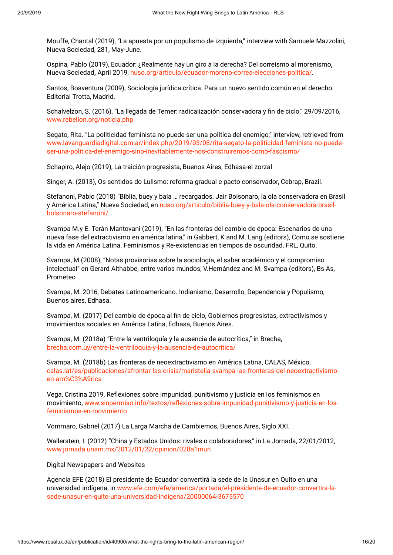Mouffe, Chantal (2019), "La apuesta por un populismo de izquierda," interview with Samuele Mazzolini, Nueva Sociedad, 281, May-June.

Ospina, Pablo (2019), Ecuador: ¿Realmente hay un giro a la derecha? Del correísmo al morenismo**,** Nueva Sociedad**,** April 2019, [nuso.org/articulo/ecuador-moreno-correa-elecciones-politica/](https://nuso.org/articulo/ecuador-moreno-correa-elecciones-politica/).

Santos, Boaventura (2009), Sociología jurídica crítica. Para un nuevo sentido común en el derecho. Editorial Trotta, Madrid.

Schalvelzon, S. (2016), "La llegada de Temer: radicalización conservadora y fin de ciclo," 29/09/2016, [www.rebelion.org/noticia.php](http://www.rebelion.org/noticia.php?id=217321)

Segato, Rita. "La politicidad feminista no puede ser una política del enemigo," interview, retrieved from [www.lavanguardiadigital.com.ar/index.php/2019/03/08/rita-segato-la-politicidad-feminista-no-puede](http://www.lavanguardiadigital.com.ar/index.php/2019/03/08/rita-segato-la-politicidad-feminista-no-puede-ser-una-politica-del-enemigo-sino-inevitablemente-nos-construiremos-como-fascismo/)ser-una-politica-del-enemigo-sino-inevitablemente-nos-construiremos-como-fascismo/

Schapiro, Alejo (2019), La traición progresista, Buenos Aires, Edhasa-el zorzal

Singer, A. (2013), Os sentidos do Lulismo: reforma gradual e pacto conservador, Cebrap, Brazil.

Stefanoni, Pablo (2018) "Biblia, buey y bala … recargados. Jair Bolsonaro, la ola conservadora en Brasil y América Latina," Nueva Sociedad, en [nuso.org/articulo/biblia-buey-y-bala-ola-conservadora-brasil](https://nuso.org/articulo/biblia-buey-y-bala-ola-conservadora-brasil-bolsonaro-stefanoni/)bolsonaro-stefanoni/

Svampa M.y E. Terán Mantovani (2019), "En las fronteras del cambio de época: Escenarios de una nueva fase del extractivismo en américa latina," in Gabbert, K and M. Lang (editors), Como se sostiene la vida en América Latina. Feminismos y Re-existencias en tiempos de oscuridad, FRL, Quito.

Svampa, M (2008), "Notas provisorias sobre la sociología, el saber académico y el compromiso intelectual" en Gerard Althabbe, entre varios mundos, V.Hernández and M. Svampa (editors), Bs As, Prometeo

Svampa, M. 2016, Debates Latinoamericano. Indianismo, Desarrollo, Dependencia y Populismo, Buenos aires, Edhasa.

Svampa, M. (2017) Del cambio de época al fin de ciclo, Gobiernos progresistas, extractivismos y movimientos sociales en América Latina, Edhasa, Buenos Aires.

Svampa, M. (2018a) "Entre la ventriloquía y la ausencia de autocrítica," in Brecha, [brecha.com.uy/entre-la-ventriloquia-y-la-ausencia-de-autocritica/](https://brecha.com.uy/entre-la-ventriloquia-y-la-ausencia-de-autocritica/)

Svampa, M. (2018b) Las fronteras de neoextractivismo en América Latina, CALAS, México, [calas.lat/es/publicaciones/afrontar-las-crisis/maristella-svampa-las-fronteras-del-neoextractivismo](http://calas.lat/es/publicaciones/afrontar-las-crisis/maristella-svampa-las-fronteras-del-neoextractivismo-en-am%C3%A9rica)en-am%C3%A9rica

Vega, Cristina 2019, Reflexiones sobre impunidad, punitivismo y justicia en los feminismos en movimiento, [www.sinpermiso.info/textos/reflexiones-sobre-impunidad-punitivismo-y-justicia-en-los](http://www.sinpermiso.info/textos/reflexiones-sobre-impunidad-punitivismo-y-justicia-en-los-feminismos-en-movimiento)feminismos-en-movimiento

Vommaro, Gabriel (2017) La Larga Marcha de Cambiemos, Buenos Aires, Siglo XXI.

Wallerstein, I. (2012) "China y Estados Unidos: rivales o colaboradores," in La Jornada, 22/01/2012, [www.jornada.unam.mx/2012/01/22/opinion/028a1mun](http://www.jornada.unam.mx/2012/01/22/opinion/028a1mun)

## Digital Newspapers and Websites

Agencia EFE (2018) El presidente de Ecuador convertirá la sede de la Unasur en Quito en una universidad indígena, in [www.efe.com/efe/america/portada/el-presidente-de-ecuador-convertira-la](https://www.efe.com/efe/america/portada/el-presidente-de-ecuador-convertira-la-sede-unasur-en-quito-una-universidad-indigena/20000064-3675570)sede-unasur-en-quito-una-universidad-indigena/20000064-3675570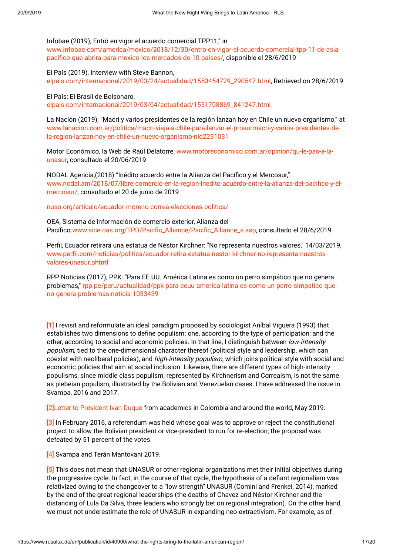Infobae (2019), Entró en vigor el acuerdo comercial TPP11," in [www.infobae.com/america/mexico/2018/12/30/entro-en-vigor-el-acuerdo-comercial-tpp-11-de-asia](https://www.infobae.com/america/mexico/2018/12/30/entro-en-vigor-el-acuerdo-comercial-tpp-11-de-asia-pacifico-que-abrira-para-mexico-los-mercados-de-10-paises/)pacifico-que-abrira-para-mexico-los-mercados-de-10-paises/, disponible el 28/6/2019

El País (2019), Interview with Steve Bannon, [elpais.com/internacional/2019/03/24/actualidad/1553454729\\_290547.html](https://elpais.com/internacional/2019/03/24/actualidad/1553454729_290547.html), Retrieved on 28/6/2019

El País: El Brasil de Bolsonaro, [elpais.com/internacional/2019/03/04/actualidad/1551708869\\_841247.html](https://elpais.com/internacional/2019/03/04/actualidad/1551708869_841247.html)

La Nación (2019), "Macri y varios presidentes de la región lanzan hoy en Chile un nuevo organismo," at [www.lanacion.com.ar/politica/macri-viaja-a-chile-para-lanzar-el-prosurmacri-y-varios-presidentes-de](https://www.lanacion.com.ar/politica/macri-viaja-a-chile-para-lanzar-el-prosurmacri-y-varios-presidentes-de-la-region-lanzan-hoy-en-chile-un-nuevo-organismo-nid2231031)la-region-lanzan-hoy-en-chile-un-nuevo-organismo-nid2231031

Motor Económico, la Web de Raúl Delatorre, [www.motoreconomico.com.ar/opinion/qu-le-pas-a-la](http://www.motoreconomico.com.ar/opinion/qu-le-pas-a-la-unasur)unasur, consultado el 20/06/2019

NODAL Agencia,(2018) "Inédito acuerdo entre la Alianza del Pacífico y el Mercosur," [www.nodal.am/2018/07/libre-comercio-en-la-region-inedito-acuerdo-entre-la-alianza-del-pacifico-y-el](https://www.nodal.am/2018/07/libre-comercio-en-la-region-inedito-acuerdo-entre-la-alianza-del-pacifico-y-el-mercosur/)mercosur/, consultado el 20 de junio de 2019

[nuso.org/articulo/ecuador-moreno-correa-elecciones-politica/](https://nuso.org/articulo/ecuador-moreno-correa-elecciones-politica/)

OEA, Sistema de información de comercio exterior, Alianza del Pacífico[.www.sice.oas.org/TPD/Pacific\\_Alliance/Pacific\\_Alliance\\_s.asp,](http://www.sice.oas.org/TPD/Pacific_Alliance/Pacific_Alliance_s.asp) consultado el 28/6/2019

Perfil, Ecuador retirará una estatua de Néstor Kirchner: "No representa nuestros valores," 14/03/2019, [www.perfil.com/noticias/politica/ecuador-retira-estatua-nestor-kirchner-no-representa-nuestros](https://www.perfil.com/noticias/politica/ecuador-retira-estatua-nestor-kirchner-no-representa-nuestros-valores-unasur.phtml)valores-unasur.phtml

RPP Noticias (2017), PPK: "Para EE.UU. América Latina es como un perro simpático que no genera problemas," [rpp.pe/peru/actualidad/ppk-para-eeuu-america-latina-es-como-un-perro-simpatico-que](https://rpp.pe/peru/actualidad/ppk-para-eeuu-america-latina-es-como-un-perro-simpatico-que-no-genera-problemas-noticia-1033439)no-genera-problemas-noticia-1033439

[\[1\]](https://www.rosalux.de/en/publication/id/40900/#_ftnref1) I revisit and reformulate an ideal paradigm proposed by sociologist Aníbal Viguera (1993) that establishes two dimensions to define populism: one, according to the type of participation; and the other, according to social and economic policies. In that line, I distinguish between low-intensity populism, tied to the one-dimensional character thereof (political style and leadership, which can coexist with neoliberal policies), and *high-intensity populism*, which joins political style with social and economic policies that aim at social inclusion. Likewise, there are different types of high-intensity populisms, since middle class populism, represented by Kirchnerism and Correaism, is not the same as plebeian populism, illustrated by the Bolivian and Venezuelan cases. I have addressed the issue in Svampa, 2016 and 2017.

[\[2\]L](https://www.rosalux.de/en/publication/id/40900/#_ftnref2)etter to [President](https://comosoc.org/carta-abierta-academicos-a-Duque) Ivan Duque from academics in Colombia and around the world, May 2019.

[\[3\]](https://www.rosalux.de/en/publication/id/40900/#_ftnref3) In February 2016, a referendum was held whose goal was to approve or reject the constitutional project to allow the Bolivian president or vice-president to run for re-election; the proposal was defeated by 51 percent of the votes.

[\[4\]](https://www.rosalux.de/en/publication/id/40900/#_ftnref4) Svampa and Terán Mantovani 2019.

[\[5\]](https://www.rosalux.de/en/publication/id/40900/#_ftnref5) This does not mean that UNASUR or other regional organizations met their initial objectives during the progressive cycle. In fact, in the course of that cycle, the hypothesis of a defiant regionalism was relativized owing to the changeover to a "low strength" UNASUR (Comini and Frenkel, 2014), marked by the end of the great regional leaderships (the deaths of Chavez and Néstor Kirchner and the distancing of Lula Da Silva, three leaders who strongly bet on regional integration). On the other hand, we must not underestimate the role of UNASUR in expanding neo-extractivism. For example, as of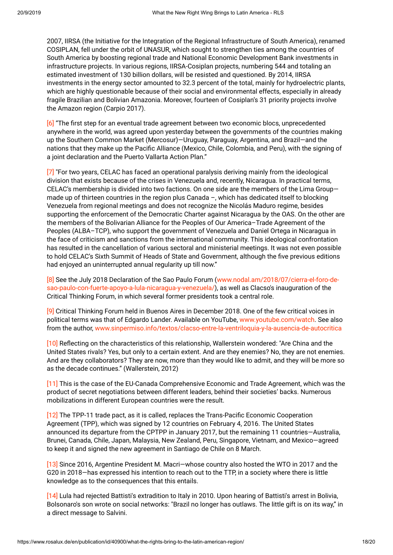2007, IIRSA (the Initiative for the Integration of the Regional Infrastructure of South America), renamed COSIPLAN, fell under the orbit of UNASUR, which sought to strengthen ties among the countries of South America by boosting regional trade and National Economic Development Bank investments in infrastructure projects. In various regions, IIRSA-Cosiplan projects, numbering 544 and totaling an estimated investment of 130 billion dollars, will be resisted and questioned. By 2014, IIRSA investments in the energy sector amounted to 32.3 percent of the total, mainly for hydroelectric plants, which are highly questionable because of their social and environmental effects, especially in already fragile Brazilian and Bolivian Amazonia. Moreover, fourteen of Cosiplan's 31 priority projects involve the Amazon region (Carpio 2017).

[\[6\]](https://www.rosalux.de/en/publication/id/40900/#_ftnref6) "The first step for an eventual trade agreement between two economic blocs, unprecedented anywhere in the world, was agreed upon yesterday between the governments of the countries making up the Southern Common Market (Mercosur)—Uruguay, Paraguay, Argentina, and Brazil—and the nations that they make up the Pacific Alliance (Mexico, Chile, Colombia, and Peru), with the signing of a joint declaration and the Puerto Vallarta Action Plan."

[\[7\]](https://www.rosalux.de/en/publication/id/40900/#_ftnref7) "For two years, CELAC has faced an operational paralysis deriving mainly from the ideological division that exists because of the crises in Venezuela and, recently, Nicaragua. In practical terms, CELAC's membership is divided into two factions. On one side are the members of the Lima Group made up of thirteen countries in the region plus Canada –, which has dedicated itself to blocking Venezuela from regional meetings and does not recognize the Nicolás Maduro regime, besides supporting the enforcement of the Democratic Charter against Nicaragua by the OAS. On the other are the members of the Bolivarian Alliance for the Peoples of Our America–Trade Agreement of the Peoples (ALBA–TCP), who support the government of Venezuela and Daniel Ortega in Nicaragua in the face of criticism and sanctions from the international community. This ideological confrontation has resulted in the cancellation of various sectoral and ministerial meetings. It was not even possible to hold CELAC's Sixth Summit of Heads of State and Government, although the five previous editions had enjoyed an uninterrupted annual regularity up till now."

[\[8\]](https://www.rosalux.de/en/publication/id/40900/#_ftnref8) See the July 2018 Declaration of the Sao Paulo Forum (www.nodal.am/2018/07/cierra-el-foro-de[sao-paulo-con-fuerte-apoyo-a-lula-nicaragua-y-venezuela/\),](https://www.nodal.am/2018/07/cierra-el-foro-de-sao-paulo-con-fuerte-apoyo-a-lula-nicaragua-y-venezuela/) as well as Clacso's inauguration of the Critical Thinking Forum, in which several former presidents took a central role.

[\[9\]](https://www.rosalux.de/en/publication/id/40900/#_ftnref9) Critical Thinking Forum held in Buenos Aires in December 2018. One of the few critical voices in political terms was that of Edgardo Lander. Available on YouTube, [www.youtube.com/watch.](https://www.youtube.com/watch?v=T3aHEdE8wsk) See also from the author, [www.sinpermiso.info/textos/clacso-entre-la-ventriloquia-y-la-ausencia-de-autocritica](http://www.sinpermiso.info/textos/clacso-entre-la-ventriloquia-y-la-ausencia-de-autocritica)

[\[10\]](https://www.rosalux.de/en/publication/id/40900/#_ftnref10) Reflecting on the characteristics of this relationship, Wallerstein wondered: "Are China and the United States rivals? Yes, but only to a certain extent. And are they enemies? No, they are not enemies. And are they collaborators? They are now, more than they would like to admit, and they will be more so as the decade continues." (Wallerstein, 2012)

[\[11\]](https://www.rosalux.de/en/publication/id/40900/#_ftnref11) This is the case of the EU-Canada Comprehensive Economic and Trade Agreement, which was the product of secret negotiations between different leaders, behind their societies' backs. Numerous mobilizations in different European countries were the result.

[\[12\]](https://www.rosalux.de/en/publication/id/40900/#_ftnref12) The TPP-11 trade pact, as it is called, replaces the Trans-Pacific Economic Cooperation Agreement (TPP), which was signed by 12 countries on February 4, 2016. The United States announced its departure from the CPTPP in January 2017, but the remaining 11 countries—Australia, Brunei, Canada, Chile, Japan, Malaysia, New Zealand, Peru, Singapore, Vietnam, and Mexico—agreed to keep it and signed the new agreement in Santiago de Chile on 8 March.

[\[13\]](https://www.rosalux.de/en/publication/id/40900/#_ftnref13) Since 2016, Argentine President M. Macri—whose country also hosted the WTO in 2017 and the G20 in 2018—has expressed his intention to reach out to the TTP, in a society where there is little knowledge as to the consequences that this entails.

[\[14\]](https://www.rosalux.de/en/publication/id/40900/#_ftnref14) Lula had rejected Battisti's extradition to Italy in 2010. Upon hearing of Battisti's arrest in Bolivia, Bolsonaro's son wrote on social networks: "Brazil no longer has outlaws. The little gift is on its way," in a direct message to Salvini.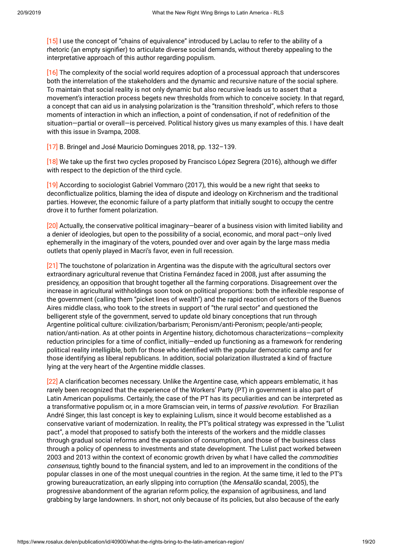[\[15\]](https://www.rosalux.de/en/publication/id/40900/#_ftnref15) I use the concept of "chains of equivalence" introduced by Laclau to refer to the ability of a rhetoric (an empty signifier) to articulate diverse social demands, without thereby appealing to the interpretative approach of this author regarding populism.

[\[16\]](https://www.rosalux.de/en/publication/id/40900/#_ftnref16) The complexity of the social world requires adoption of a processual approach that underscores both the interrelation of the stakeholders and the dynamic and recursive nature of the social sphere. To maintain that social reality is not only dynamic but also recursive leads us to assert that a movement's interaction process begets new thresholds from which to conceive society. In that regard, a concept that can aid us in analysing polarization is the "transition threshold", which refers to those moments of interaction in which an inflection, a point of condensation, if not of redefinition of the situation—partial or overall—is perceived. Political history gives us many examples of this. I have dealt with this issue in Svampa, 2008.

[\[17\]](https://www.rosalux.de/en/publication/id/40900/#_ftnref17) B. Bringel and José Mauricio Domingues 2018, pp. 132–139.

[\[18\]](https://www.rosalux.de/en/publication/id/40900/#_ftnref18) We take up the first two cycles proposed by Francisco López Segrera (2016), although we differ with respect to the depiction of the third cycle.

[\[19\]](https://www.rosalux.de/en/publication/id/40900/#_ftnref19) According to sociologist Gabriel Vommaro (2017), this would be a new right that seeks to deconflictualize politics, blaming the idea of dispute and ideology on Kirchnerism and the traditional parties. However, the economic failure of a party platform that initially sought to occupy the centre drove it to further foment polarization.

[\[20\]](https://www.rosalux.de/en/publication/id/40900/#_ftnref20) Actually, the conservative political imaginary—bearer of a business vision with limited liability and a denier of ideologies, but open to the possibility of a social, economic, and moral pact—only lived ephemerally in the imaginary of the voters, pounded over and over again by the large mass media outlets that openly played in Macri's favor, even in full recession.

[\[21\]](https://www.rosalux.de/en/publication/id/40900/#_ftnref21) The touchstone of polarization in Argentina was the dispute with the agricultural sectors over extraordinary agricultural revenue that Cristina Fernández faced in 2008, just after assuming the presidency, an opposition that brought together all the farming corporations. Disagreement over the increase in agricultural withholdings soon took on political proportions: both the inflexible response of the government (calling them "picket lines of wealth") and the rapid reaction of sectors of the Buenos Aires middle class, who took to the streets in support of "the rural sector" and questioned the belligerent style of the government, served to update old binary conceptions that run through Argentine political culture: civilization/barbarism; Peronism/anti-Peronism; people/anti-people; nation/anti-nation. As at other points in Argentine history, dichotomous characterizations—complexity reduction principles for a time of conflict, initially—ended up functioning as a framework for rendering political reality intelligible, both for those who identified with the popular democratic camp and for those identifying as liberal republicans. In addition, social polarization illustrated a kind of fracture lying at the very heart of the Argentine middle classes.

[\[22\]](https://www.rosalux.de/en/publication/id/40900/#_ftnref22) A clarification becomes necessary. Unlike the Argentine case, which appears emblematic, it has rarely been recognized that the experience of the Workers' Party (PT) in government is also part of Latin American populisms. Certainly, the case of the PT has its peculiarities and can be interpreted as a transformative populism or, in a more Gramscian vein, in terms of *passive revolution*. For Brazilian André Singer, this last concept is key to explaining Lulism, since it would become established as a conservative variant of modernization. In reality, the PT's political strategy was expressed in the "Lulist pact", a model that proposed to satisfy both the interests of the workers and the middle classes through gradual social reforms and the expansion of consumption, and those of the business class through a policy of openness to investments and state development. The Lulist pact worked between 2003 and 2013 within the context of economic growth driven by what I have called the *commodities* consensus, tightly bound to the financial system, and led to an improvement in the conditions of the popular classes in one of the most unequal countries in the region. At the same time, it led to the PT's growing bureaucratization, an early slipping into corruption (the *Mensalão* scandal, 2005), the progressive abandonment of the agrarian reform policy, the expansion of agribusiness, and land grabbing by large landowners. In short, not only because of its policies, but also because of the early